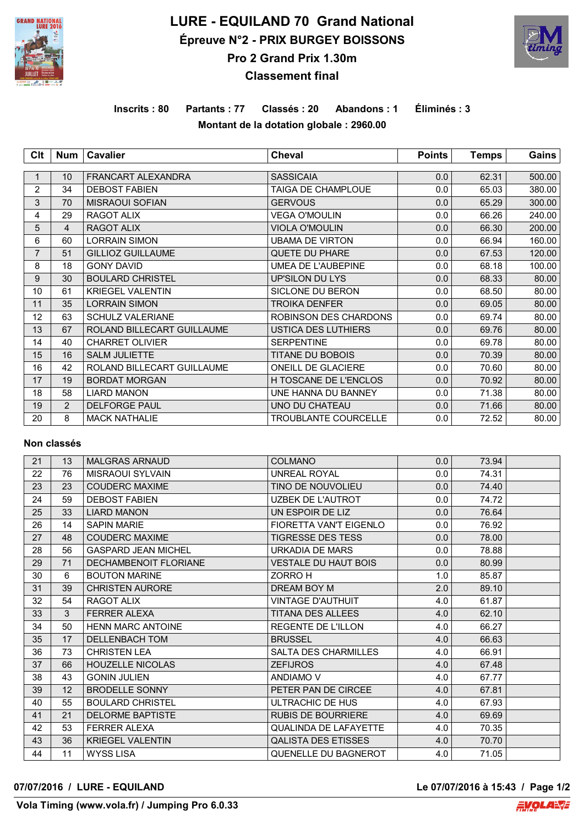

# **LURE - EQUILAND 70 Grand National Épreuve N°2 - PRIX BURGEY BOISSONS Pro 2 Grand Prix 1.30m**



## **Classement final**

## **Inscrits : 80 Partants : 77 Classés : 20 Abandons : 1 Éliminés : 3 Montant de la dotation globale : 2960.00**

| Clt             | <b>Num</b>     | Cavalier                   | Cheval                       | <b>Points</b> | <b>Temps</b> | Gains  |
|-----------------|----------------|----------------------------|------------------------------|---------------|--------------|--------|
|                 |                |                            |                              |               |              |        |
| 1               | 10             | <b>FRANCART ALEXANDRA</b>  | <b>SASSICAIA</b>             | 0.0           | 62.31        | 500.00 |
| $\overline{2}$  | 34             | <b>DEBOST FABIEN</b>       | TAIGA DE CHAMPLOUE           | 0.0           | 65.03        | 380.00 |
| 3               | 70             | <b>MISRAOUI SOFIAN</b>     | <b>GERVOUS</b>               | 0.0           | 65.29        | 300.00 |
| 4               | 29             | <b>RAGOT ALIX</b>          | VEGA O'MOULIN                | 0.0           | 66.26        | 240.00 |
| 5               | $\overline{4}$ | RAGOT ALIX                 | VIOLA O'MOULIN               | 0.0           | 66.30        | 200.00 |
| 6               | 60             | <b>LORRAIN SIMON</b>       | <b>UBAMA DE VIRTON</b>       | 0.0           | 66.94        | 160.00 |
| $\overline{7}$  | 51             | <b>GILLIOZ GUILLAUME</b>   | <b>QUETE DU PHARE</b>        | 0.0           | 67.53        | 120.00 |
| 8               | 18             | <b>GONY DAVID</b>          | UMEA DE L'AUBEPINE           | 0.0           | 68.18        | 100.00 |
| 9               | 30             | <b>BOULARD CHRISTEL</b>    | UP'SILON DU LYS              | 0.0           | 68.33        | 80.00  |
| 10              | 61             | <b>KRIEGEL VALENTIN</b>    | SICLONE DU BERON             | 0.0           | 68.50        | 80.00  |
| 11              | 35             | <b>LORRAIN SIMON</b>       | <b>TROIKA DENFER</b>         | 0.0           | 69.05        | 80.00  |
| 12 <sup>2</sup> | 63             | <b>SCHULZ VALERIANE</b>    | ROBINSON DES CHARDONS        | 0.0           | 69.74        | 80.00  |
| 13              | 67             | ROLAND BILLECART GUILLAUME | <b>USTICA DES LUTHIERS</b>   | 0.0           | 69.76        | 80.00  |
| 14              | 40             | <b>CHARRET OLIVIER</b>     | <b>SERPENTINE</b>            | 0.0           | 69.78        | 80.00  |
| 15              | 16             | <b>SALM JULIETTE</b>       | TITANE DU BOBOIS             | 0.0           | 70.39        | 80.00  |
| 16              | 42             | ROLAND BILLECART GUILLAUME | ONEILL DE GLACIERE           | 0.0           | 70.60        | 80.00  |
| 17              | 19             | <b>BORDAT MORGAN</b>       | <b>H TOSCANE DE L'ENCLOS</b> | 0.0           | 70.92        | 80.00  |
| 18              | 58             | <b>LIARD MANON</b>         | UNE HANNA DU BANNEY          | 0.0           | 71.38        | 80.00  |
| 19              | $\overline{2}$ | <b>DELFORGE PAUL</b>       | <b>UNO DU CHATEAU</b>        | 0.0           | 71.66        | 80.00  |
| 20              | 8              | <b>MACK NATHALIE</b>       | <b>TROUBLANTE COURCELLE</b>  | 0.0           | 72.52        | 80.00  |

#### **Non classés**

| 21 | 13 | <b>MALGRAS ARNAUD</b>        | <b>COLMANO</b>               | 0.0 | 73.94 |  |
|----|----|------------------------------|------------------------------|-----|-------|--|
| 22 | 76 | <b>MISRAOUI SYLVAIN</b>      | <b>UNREAL ROYAL</b>          | 0.0 | 74.31 |  |
| 23 | 23 | <b>COUDERC MAXIME</b>        | <b>TINO DE NOUVOLIEU</b>     | 0.0 | 74.40 |  |
| 24 | 59 | <b>DEBOST FABIEN</b>         | <b>UZBEK DE L'AUTROT</b>     | 0.0 | 74.72 |  |
| 25 | 33 | <b>LIARD MANON</b>           | UN ESPOIR DE LIZ             | 0.0 | 76.64 |  |
| 26 | 14 | <b>SAPIN MARIE</b>           | FIORETTA VAN'T EIGENLO       | 0.0 | 76.92 |  |
| 27 | 48 | <b>COUDERC MAXIME</b>        | <b>TIGRESSE DES TESS</b>     | 0.0 | 78.00 |  |
| 28 | 56 | <b>GASPARD JEAN MICHEL</b>   | URKADIA DE MARS              | 0.0 | 78.88 |  |
| 29 | 71 | <b>DECHAMBENOIT FLORIANE</b> | <b>VESTALE DU HAUT BOIS</b>  | 0.0 | 80.99 |  |
| 30 | 6  | <b>BOUTON MARINE</b>         | ZORRO H                      | 1.0 | 85.87 |  |
| 31 | 39 | <b>CHRISTEN AURORE</b>       | DREAM BOY M                  | 2.0 | 89.10 |  |
| 32 | 54 | RAGOT ALIX                   | <b>VINTAGE D'AUTHUIT</b>     | 4.0 | 61.87 |  |
| 33 | 3  | <b>FERRER ALEXA</b>          | <b>TITANA DES ALLEES</b>     | 4.0 | 62.10 |  |
| 34 | 50 | <b>HENN MARC ANTOINE</b>     | <b>REGENTE DE L'ILLON</b>    | 4.0 | 66.27 |  |
| 35 | 17 | <b>DELLENBACH TOM</b>        | <b>BRUSSEL</b>               | 4.0 | 66.63 |  |
| 36 | 73 | <b>CHRISTEN LEA</b>          | <b>SALTA DES CHARMILLES</b>  | 4.0 | 66.91 |  |
| 37 | 66 | <b>HOUZELLE NICOLAS</b>      | <b>ZEFIJROS</b>              | 4.0 | 67.48 |  |
| 38 | 43 | <b>GONIN JULIEN</b>          | ANDIAMO V                    | 4.0 | 67.77 |  |
| 39 | 12 | <b>BRODELLE SONNY</b>        | PETER PAN DE CIRCEE          | 4.0 | 67.81 |  |
| 40 | 55 | <b>BOULARD CHRISTEL</b>      | ULTRACHIC DE HUS             | 4.0 | 67.93 |  |
| 41 | 21 | <b>DELORME BAPTISTE</b>      | <b>RUBIS DE BOURRIERE</b>    | 4.0 | 69.69 |  |
| 42 | 53 | <b>FERRER ALEXA</b>          | <b>QUALINDA DE LAFAYETTE</b> | 4.0 | 70.35 |  |
| 43 | 36 | <b>KRIEGEL VALENTIN</b>      | <b>QALISTA DES ETISSES</b>   | 4.0 | 70.70 |  |
| 44 | 11 | <b>WYSS LISA</b>             | QUENELLE DU BAGNEROT         | 4.0 | 71.05 |  |

#### **07/07/2016 / LURE - EQUILAND Le 07/07/2016 à 15:43 / Page 1/2**